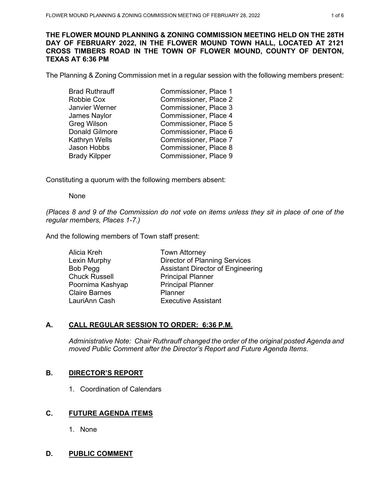### **THE FLOWER MOUND PLANNING & ZONING COMMISSION MEETING HELD ON THE 28TH DAY OF FEBRUARY 2022, IN THE FLOWER MOUND TOWN HALL, LOCATED AT 2121 CROSS TIMBERS ROAD IN THE TOWN OF FLOWER MOUND, COUNTY OF DENTON, TEXAS AT 6:36 PM**

The Planning & Zoning Commission met in a regular session with the following members present:

| <b>Brad Ruthrauff</b> | Commissioner, Place 1 |
|-----------------------|-----------------------|
| Robbie Cox            | Commissioner, Place 2 |
| Janvier Werner        | Commissioner, Place 3 |
| James Naylor          | Commissioner, Place 4 |
| <b>Greg Wilson</b>    | Commissioner, Place 5 |
| <b>Donald Gilmore</b> | Commissioner, Place 6 |
| Kathryn Wells         | Commissioner, Place 7 |
| Jason Hobbs           | Commissioner, Place 8 |
| <b>Brady Kilpper</b>  | Commissioner, Place 9 |

Constituting a quorum with the following members absent:

None

*(Places 8 and 9 of the Commission do not vote on items unless they sit in place of one of the regular members, Places 1-7.)*

And the following members of Town staff present:

| Alicia Kreh          | <b>Town Attorney</b>                     |
|----------------------|------------------------------------------|
| Lexin Murphy         | <b>Director of Planning Services</b>     |
| Bob Pegg             | <b>Assistant Director of Engineering</b> |
| <b>Chuck Russell</b> | <b>Principal Planner</b>                 |
| Poornima Kashyap     | <b>Principal Planner</b>                 |
| <b>Claire Barnes</b> | Planner                                  |
| LauriAnn Cash        | <b>Executive Assistant</b>               |
|                      |                                          |

# **A. CALL REGULAR SESSION TO ORDER: 6:36 P.M.**

*Administrative Note: Chair Ruthrauff changed the order of the original posted Agenda and moved Public Comment after the Director's Report and Future Agenda Items.*

# **B. DIRECTOR'S REPORT**

1. Coordination of Calendars

# **C. FUTURE AGENDA ITEMS**

1. None

# **D. PUBLIC COMMENT**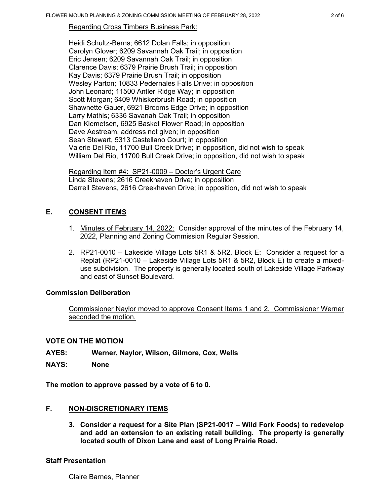Regarding Cross Timbers Business Park:

Heidi Schultz-Berns; 6612 Dolan Falls; in opposition Carolyn Glover; 6209 Savannah Oak Trail; in opposition Eric Jensen; 6209 Savannah Oak Trail; in opposition Clarence Davis; 6379 Prairie Brush Trail; in opposition Kay Davis; 6379 Prairie Brush Trail; in opposition Wesley Parton; 10833 Pedernales Falls Drive; in opposition John Leonard; 11500 Antler Ridge Way; in opposition Scott Morgan; 6409 Whiskerbrush Road; in opposition Shawnette Gauer, 6921 Brooms Edge Drive; in opposition Larry Mathis; 6336 Savanah Oak Trail; in opposition Dan Klemetsen, 6925 Basket Flower Road; in opposition Dave Aestream, address not given; in opposition Sean Stewart, 5313 Castellano Court; in opposition Valerie Del Rio, 11700 Bull Creek Drive; in opposition, did not wish to speak William Del Rio, 11700 Bull Creek Drive; in opposition, did not wish to speak

Regarding Item #4: SP21-0009 – Doctor's Urgent Care Linda Stevens; 2616 Creekhaven Drive; in opposition Darrell Stevens, 2616 Creekhaven Drive; in opposition, did not wish to speak

# **E. CONSENT ITEMS**

- 1. Minutes of February 14, 2022: Consider approval of the minutes of the February 14, 2022, Planning and Zoning Commission Regular Session.
- 2. RP21-0010 Lakeside Village Lots 5R1 & 5R2, Block  $E$ : Consider a request for a Replat (RP21-0010 – Lakeside Village Lots 5R1 & 5R2, Block E) to create a mixeduse subdivision. The property is generally located south of Lakeside Village Parkway and east of Sunset Boulevard.

# **Commission Deliberation**

Commissioner Naylor moved to approve Consent Items 1 and 2. Commissioner Werner seconded the motion.

# **VOTE ON THE MOTION**

- **AYES: Werner, Naylor, Wilson, Gilmore, Cox, Wells**
- **NAYS: None**

**The motion to approve passed by a vote of 6 to 0.** 

# **F. NON-DISCRETIONARY ITEMS**

**3. Consider a request for a Site Plan (SP21-0017 – Wild Fork Foods) to redevelop and add an extension to an existing retail building. The property is generally located south of Dixon Lane and east of Long Prairie Road.** 

#### **Staff Presentation**

Claire Barnes, Planner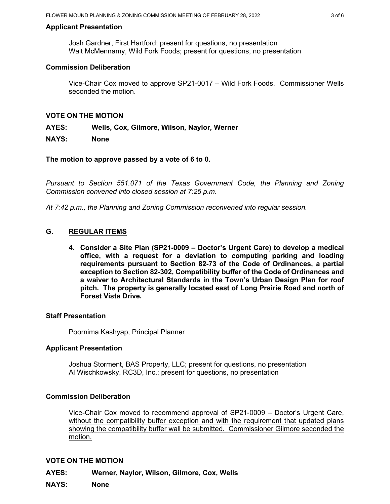### **Applicant Presentation**

Josh Gardner, First Hartford; present for questions, no presentation Walt McMennamy, Wild Fork Foods; present for questions, no presentation

### **Commission Deliberation**

Vice-Chair Cox moved to approve SP21-0017 – Wild Fork Foods. Commissioner Wells seconded the motion.

### **VOTE ON THE MOTION**

**AYES: Wells, Cox, Gilmore, Wilson, Naylor, Werner**

### **NAYS: None**

**The motion to approve passed by a vote of 6 to 0.** 

*Pursuant to Section 551.071 of the Texas Government Code, the Planning and Zoning Commission convened into closed session at 7:25 p.m.*

*At 7:42 p.m., the Planning and Zoning Commission reconvened into regular session.*

# **G. REGULAR ITEMS**

**4. Consider a Site Plan (SP21-0009 – Doctor's Urgent Care) to develop a medical office, with a request for a deviation to computing parking and loading requirements pursuant to Section 82-73 of the Code of Ordinances, a partial exception to Section 82-302, Compatibility buffer of the Code of Ordinances and a waiver to Architectural Standards in the Town's Urban Design Plan for roof pitch. The property is generally located east of Long Prairie Road and north of Forest Vista Drive.**

#### **Staff Presentation**

Poornima Kashyap, Principal Planner

#### **Applicant Presentation**

Joshua Storment, BAS Property, LLC; present for questions, no presentation Al Wischkowsky, RC3D, Inc.; present for questions, no presentation

#### **Commission Deliberation**

Vice-Chair Cox moved to recommend approval of SP21-0009 – Doctor's Urgent Care, without the compatibility buffer exception and with the requirement that updated plans showing the compatibility buffer wall be submitted. Commissioner Gilmore seconded the motion.

#### **VOTE ON THE MOTION**

**AYES: Werner, Naylor, Wilson, Gilmore, Cox, Wells**

**NAYS: None**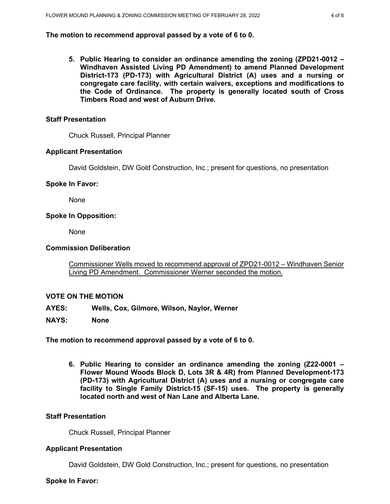### **The motion to recommend approval passed by a vote of 6 to 0.**

**5. Public Hearing to consider an ordinance amending the zoning (ZPD21-0012 – Windhaven Assisted Living PD Amendment) to amend Planned Development District-173 (PD-173) with Agricultural District (A) uses and a nursing or congregate care facility, with certain waivers, exceptions and modifications to the Code of Ordinance. The property is generally located south of Cross Timbers Road and west of Auburn Drive.** 

## **Staff Presentation**

Chuck Russell, Principal Planner

### **Applicant Presentation**

David Goldstein, DW Gold Construction, Inc.; present for questions, no presentation

## **Spoke In Favor:**

None

### **Spoke In Opposition:**

None

#### **Commission Deliberation**

Commissioner Wells moved to recommend approval of ZPD21-0012 – Windhaven Senior Living PD Amendment. Commissioner Werner seconded the motion.

#### **VOTE ON THE MOTION**

- **AYES: Wells, Cox, Gilmore, Wilson, Naylor, Werner**
- **NAYS: None**

**The motion to recommend approval passed by a vote of 6 to 0.** 

**6. Public Hearing to consider an ordinance amending the zoning (Z22-0001 – Flower Mound Woods Block D, Lots 3R & 4R) from Planned Development-173 (PD-173) with Agricultural District (A) uses and a nursing or congregate care facility to Single Family District-15 (SF-15) uses. The property is generally located north and west of Nan Lane and Alberta Lane.** 

## **Staff Presentation**

Chuck Russell, Principal Planner

#### **Applicant Presentation**

David Goldstein, DW Gold Construction, Inc.; present for questions, no presentation

**Spoke In Favor:**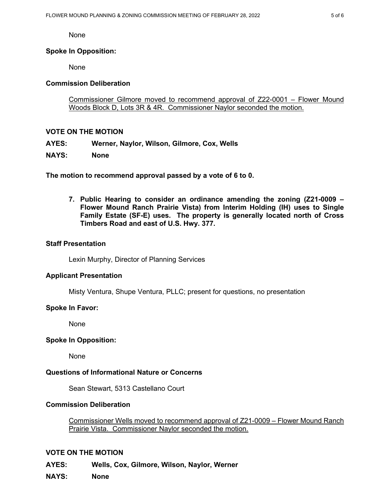None

### **Spoke In Opposition:**

None

### **Commission Deliberation**

Commissioner Gilmore moved to recommend approval of Z22-0001 – Flower Mound Woods Block D, Lots 3R & 4R. Commissioner Naylor seconded the motion.

### **VOTE ON THE MOTION**

**AYES: Werner, Naylor, Wilson, Gilmore, Cox, Wells**

#### **NAYS: None**

**The motion to recommend approval passed by a vote of 6 to 0.** 

**7. Public Hearing to consider an ordinance amending the zoning (Z21-0009 – Flower Mound Ranch Prairie Vista) from Interim Holding (IH) uses to Single Family Estate (SF-E) uses. The property is generally located north of Cross Timbers Road and east of U.S. Hwy. 377.** 

#### **Staff Presentation**

Lexin Murphy, Director of Planning Services

#### **Applicant Presentation**

Misty Ventura, Shupe Ventura, PLLC; present for questions, no presentation

#### **Spoke In Favor:**

None

#### **Spoke In Opposition:**

None

#### **Questions of Informational Nature or Concerns**

Sean Stewart, 5313 Castellano Court

#### **Commission Deliberation**

Commissioner Wells moved to recommend approval of Z21-0009 – Flower Mound Ranch Prairie Vista. Commissioner Naylor seconded the motion.

#### **VOTE ON THE MOTION**

**AYES: Wells, Cox, Gilmore, Wilson, Naylor, Werner**

**NAYS: None**